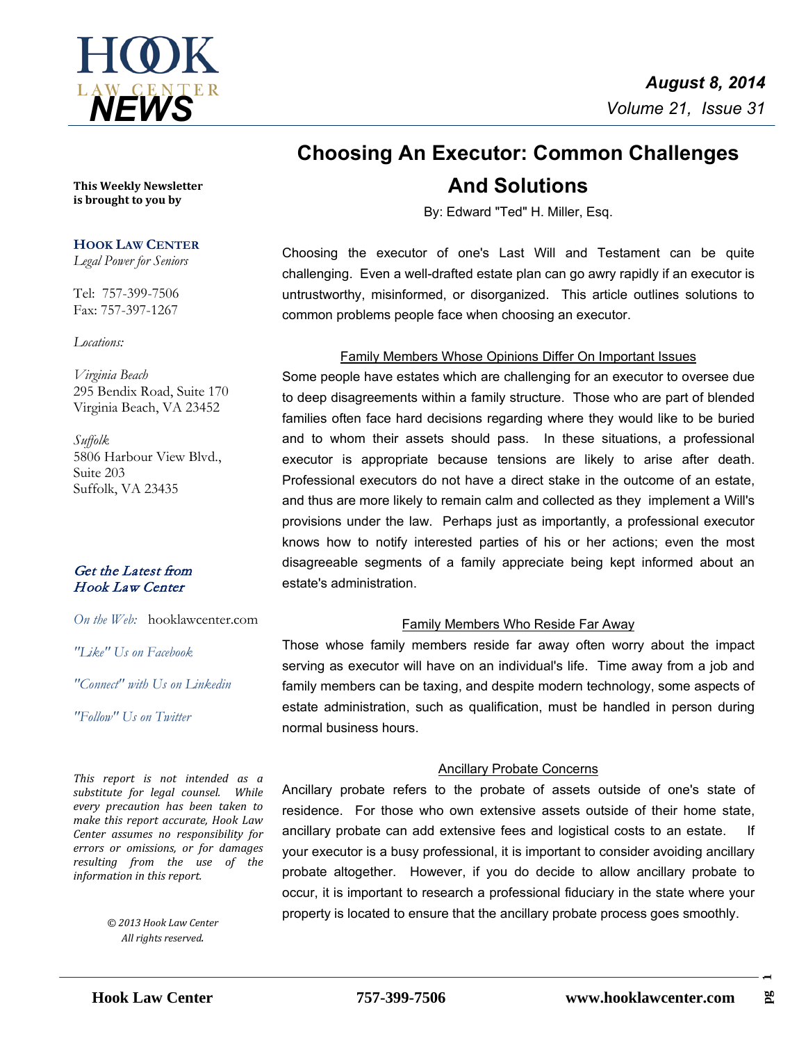

# **Choosing An Executor: Common Challenges And Solutions**

By: Edward "Ted" H. Miller, Esq.

Choosing the executor of one's Last Will and Testament can be quite challenging. Even a well-drafted estate plan can go awry rapidly if an executor is untrustworthy, misinformed, or disorganized. This article outlines solutions to common problems people face when choosing an executor.

#### Family Members Whose Opinions Differ On Important Issues

Some people have estates which are challenging for an executor to oversee due to deep disagreements within a family structure. Those who are part of blended families often face hard decisions regarding where they would like to be buried and to whom their assets should pass. In these situations, a professional executor is appropriate because tensions are likely to arise after death. Professional executors do not have a direct stake in the outcome of an estate, and thus are more likely to remain calm and collected as they implement a Will's provisions under the law. Perhaps just as importantly, a professional executor knows how to notify interested parties of his or her actions; even the most disagreeable segments of a family appreciate being kept informed about an estate's administration.

#### Family Members Who Reside Far Away

Those whose family members reside far away often worry about the impact serving as executor will have on an individual's life. Time away from a job and family members can be taxing, and despite modern technology, some aspects of estate administration, such as qualification, must be handled in person during normal business hours.

#### Ancillary Probate Concerns

Ancillary probate refers to the probate of assets outside of one's state of residence. For those who own extensive assets outside of their home state, ancillary probate can add extensive fees and logistical costs to an estate. If your executor is a busy professional, it is important to consider avoiding ancillary probate altogether. However, if you do decide to allow ancillary probate to occur, it is important to research a professional fiduciary in the state where your property is located to ensure that the ancillary probate process goes smoothly.

**This Weekly Newsletter is brought to you by** 

#### **HOOK LAW CENTER**

*Legal Power for Seniors*

Tel: 757-399-7506 Fax: 757-397-1267

#### *Locations:*

*Virginia Beach* 295 Bendix Road, Suite 170 Virginia Beach, VA 23452

*Suffolk* 5806 Harbour View Blvd., Suite 203 Suffolk, VA 23435

#### Get the Latest from Hook Law Center

*On the Web:* [hooklawcenter.com](http://www.hooklawcenter.com/)

*"Like" Us on Facebook*

*"Connect" with Us on Linkedin*

*Follow*" Us on Ti *"Follow" Us on Twitter*

*This report is not intended as a substitute for legal counsel. While every precaution has been taken to make this report accurate, Hook Law Center assumes no responsibility for errors or omissions, or for damages resulting from the use of the information in this report.*

> *© 2013 Hook Law Center All rights reserved.*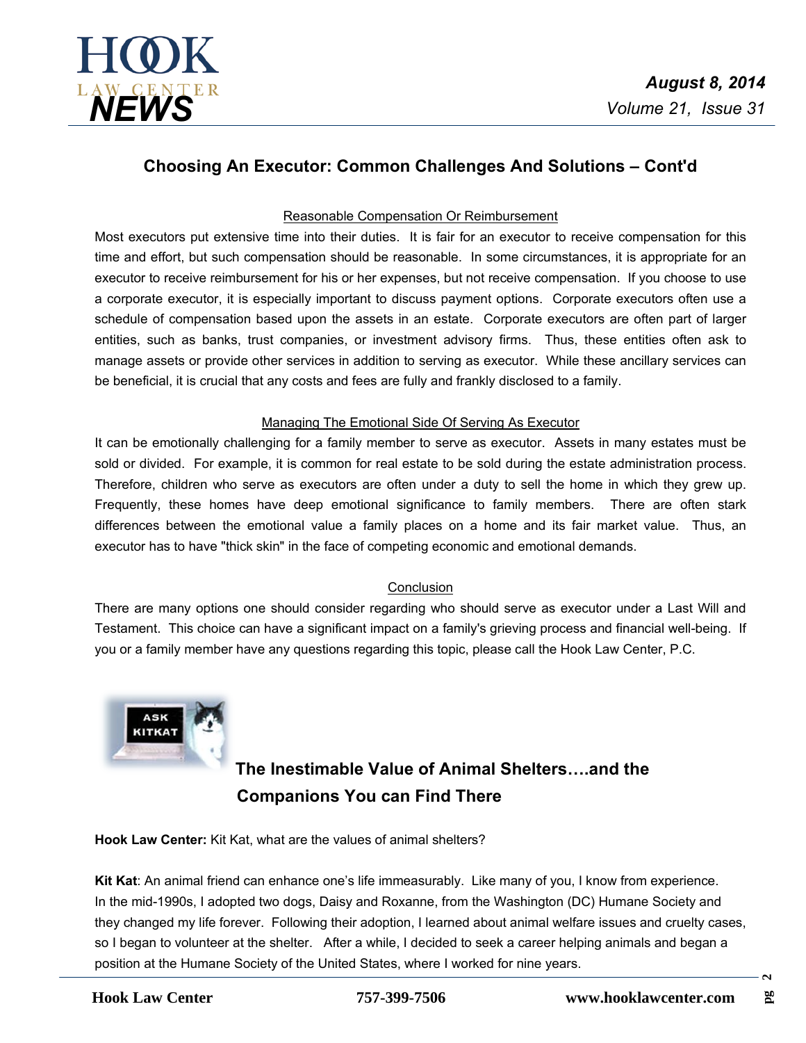

## **Choosing An Executor: Common Challenges And Solutions – Cont'd**

### Reasonable Compensation Or Reimbursement

Most executors put extensive time into their duties. It is fair for an executor to receive compensation for this time and effort, but such compensation should be reasonable. In some circumstances, it is appropriate for an executor to receive reimbursement for his or her expenses, but not receive compensation. If you choose to use a corporate executor, it is especially important to discuss payment options. Corporate executors often use a schedule of compensation based upon the assets in an estate. Corporate executors are often part of larger entities, such as banks, trust companies, or investment advisory firms. Thus, these entities often ask to manage assets or provide other services in addition to serving as executor. While these ancillary services can be beneficial, it is crucial that any costs and fees are fully and frankly disclosed to a family.

### Managing The Emotional Side Of Serving As Executor

It can be emotionally challenging for a family member to serve as executor. Assets in many estates must be sold or divided. For example, it is common for real estate to be sold during the estate administration process. Therefore, children who serve as executors are often under a duty to sell the home in which they grew up. Frequently, these homes have deep emotional significance to family members. There are often stark differences between the emotional value a family places on a home and its fair market value. Thus, an executor has to have "thick skin" in the face of competing economic and emotional demands.

## **Conclusion**

There are many options one should consider regarding who should serve as executor under a Last Will and Testament. This choice can have a significant impact on a family's grieving process and financial well-being. If you or a family member have any questions regarding this topic, please call the Hook Law Center, P.C.



## **The Inestimable Value of Animal Shelters….and the Companions You can Find There**

**Hook Law Center:** Kit Kat, what are the values of animal shelters?

**Kit Kat**: An animal friend can enhance one's life immeasurably. Like many of you, I know from experience. In the mid-1990s, I adopted two dogs, Daisy and Roxanne, from the Washington (DC) Humane Society and they changed my life forever. Following their adoption, I learned about animal welfare issues and cruelty cases, so I began to volunteer at the shelter. After a while, I decided to seek a career helping animals and began a position at the Humane Society of the United States, where I worked for nine years.

 $\mathbf{a}$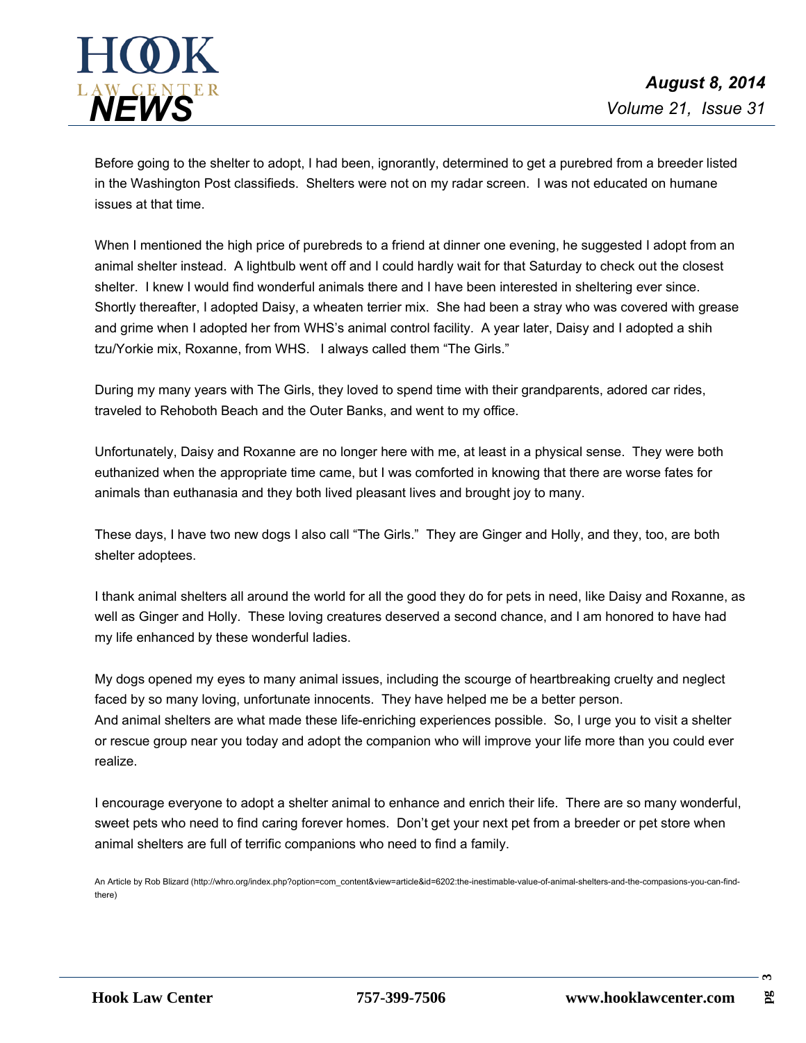

Before going to the shelter to adopt, I had been, ignorantly, determined to get a purebred from a breeder listed in the Washington Post classifieds. Shelters were not on my radar screen. I was not educated on humane issues at that time.

When I mentioned the high price of purebreds to a friend at dinner one evening, he suggested I adopt from an animal shelter instead. A lightbulb went off and I could hardly wait for that Saturday to check out the closest shelter. I knew I would find wonderful animals there and I have been interested in sheltering ever since. Shortly thereafter, I adopted Daisy, a wheaten terrier mix. She had been a stray who was covered with grease and grime when I adopted her from WHS's animal control facility. A year later, Daisy and I adopted a shih tzu/Yorkie mix, Roxanne, from WHS. I always called them "The Girls."

During my many years with The Girls, they loved to spend time with their grandparents, adored car rides, traveled to Rehoboth Beach and the Outer Banks, and went to my office.

Unfortunately, Daisy and Roxanne are no longer here with me, at least in a physical sense. They were both euthanized when the appropriate time came, but I was comforted in knowing that there are worse fates for animals than euthanasia and they both lived pleasant lives and brought joy to many.

These days, I have two new dogs I also call "The Girls." They are Ginger and Holly, and they, too, are both shelter adoptees.

I thank animal shelters all around the world for all the good they do for pets in need, like Daisy and Roxanne, as well as Ginger and Holly. These loving creatures deserved a second chance, and I am honored to have had my life enhanced by these wonderful ladies.

My dogs opened my eyes to many animal issues, including the scourge of heartbreaking cruelty and neglect faced by so many loving, unfortunate innocents. They have helped me be a better person. And animal shelters are what made these life-enriching experiences possible. So, I urge you to visit ashelter or rescue group near you today and adopt the companion who will improve your life more than you could ever realize.

I encourage everyone to adopt a shelter animal to enhance and enrich their life. There are so many wonderful, sweet pets who need to find caring forever homes. Don't get your next pet from a breeder or pet store when animal shelters are full of terrific companions who need to find a family.

An Article by Rob Blizard (http://whro.org/index.php?option=com\_content&view=article&id=6202:the-inestimable-value-of-animal-shelters-and-the-compasions-you-can-findthere)

**3**